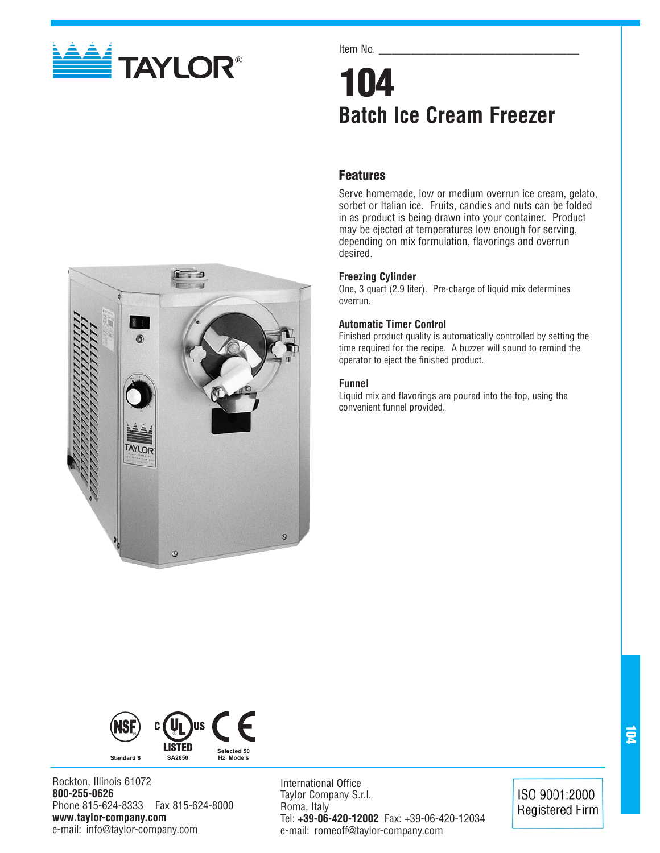

## Item No.

# **104 Batch Ice Cream Freezer**

# **Features**

Serve homemade, low or medium overrun ice cream, gelato, sorbet or Italian ice. Fruits, candies and nuts can be folded in as product is being drawn into your container. Product may be ejected at temperatures low enough for serving, depending on mix formulation, flavorings and overrun desired.

## **Freezing Cylinder**

One, 3 quart (2.9 liter). Pre-charge of liquid mix determines overrun.

### **Automatic Timer Control**

Finished product quality is automatically controlled by setting the time required for the recipe. A buzzer will sound to remind the operator to eject the finished product.

## **Funnel**

Liquid mix and flavorings are poured into the top, using the convenient funnel provided.





Rockton, Illinois 61072 **800-255-0626** Phone 815-624-8333 Fax 815-624-8000 **www.taylor-company.com** e-mail: info@taylor-company.com

International Office Taylor Company S.r.l. Roma, Italy Tel: **+39-06-420-12002** Fax: +39-06-420-12034 e-mail: romeoff@taylor-company.com

ISO 9001:2000 **Registered Firm**